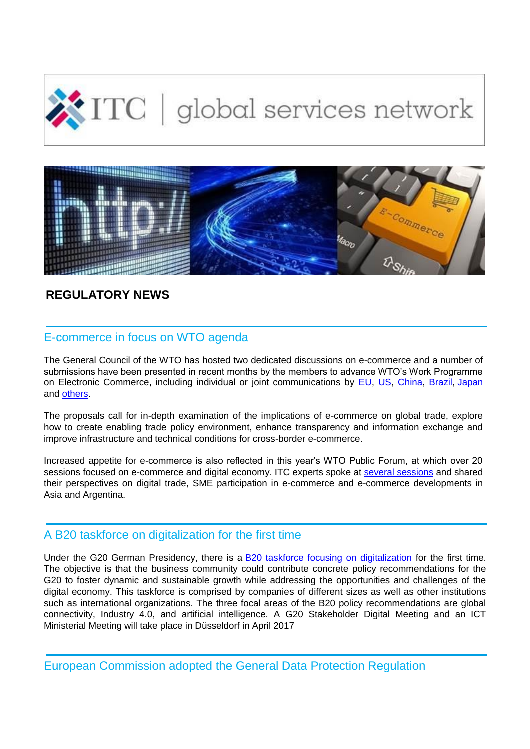



# **REGULATORY NEWS**

# E-commerce in focus on WTO agenda

The General Council of the WTO has hosted two dedicated discussions on e-commerce and a number of submissions have been presented in recent months by the members to advance WTO's Work Programme on Electronic Commerce, including individual or joint communications by [EU, US, China, Brazil,](http://legacy.intracen.org/survey/contact/openings.asp?3&5510-1288&1&M4VTFBMiUdJrViulVVyJFg) [Japan](http://legacy.intracen.org/survey/contact/openings.asp?3&5510-1288&1&M4VTFBMiUdJrViulVVyJFg) and [others.](http://legacy.intracen.org/survey/contact/openings.asp?3&5510-1288&1&M4VTFBMiUdJrViulVVyJFg)

The proposals call for in-depth examination of the implications of e-commerce on global trade, explore how to create enabling trade policy environment, enhance transparency and information exchange and improve infrastructure and technical conditions for cross-border e-commerce.

Increased appetite for e-commerce is also reflected in this year's WTO Public Forum, at which over 20 sessions focused on e-commerce and digital economy. ITC experts spoke at [several sessions](http://legacy.intracen.org/survey/contact/openings.asp?3&5510-1288&2&M4VTFBMiUdJrViulVVyJFg) and shared their perspectives on digital trade, SME participation in e-commerce and e-commerce developments in Asia and Argentina.

### A B20 taskforce on digitalization for the first time

Under the G20 German Presidency, there is a [B20 taskforce focusing on digitalization](http://legacy.intracen.org/survey/contact/openings.asp?3&5510-1288&3&M4VTFBMiUdJrViulVVyJFg) for the first time. The objective is that the business community could contribute concrete policy recommendations for the G20 to foster dynamic and sustainable growth while addressing the opportunities and challenges of the digital economy. This taskforce is comprised by companies of different sizes as well as other institutions such as international organizations. The three focal areas of the B20 policy recommendations are global connectivity, Industry 4.0, and artificial intelligence. A G20 Stakeholder Digital Meeting and an ICT Ministerial Meeting will take place in Düsseldorf in April 2017

European Commission adopted the General Data Protection Regulation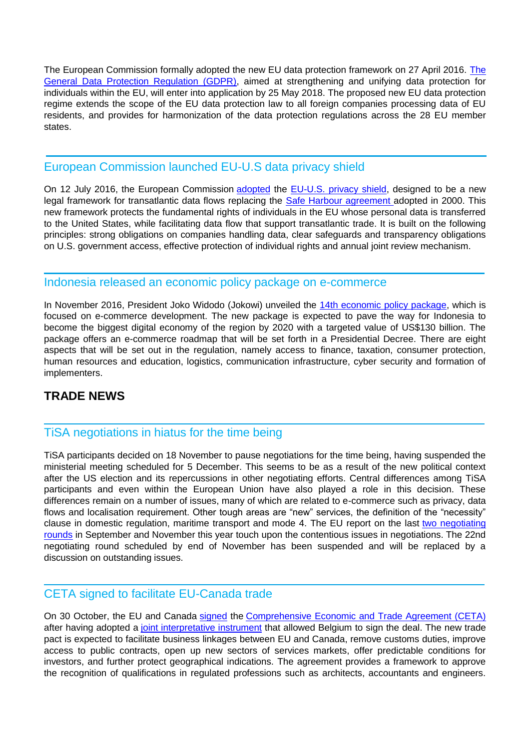The European Commission formally adopted the new EU data protection framework on 27 April 2016. [The](http://legacy.intracen.org/survey/contact/openings.asp?3&5510-1288&4&M4VTFBMiUdJrViulVVyJFg)  [General Data Protection Regulation \(GDPR\),](http://legacy.intracen.org/survey/contact/openings.asp?3&5510-1288&4&M4VTFBMiUdJrViulVVyJFg) aimed at strengthening and unifying data protection for individuals within the EU, will enter into application by 25 May 2018. The proposed new EU data protection regime extends the scope of the EU data protection law to all foreign companies processing data of EU residents, and provides for harmonization of the data protection regulations across the 28 EU member states.

## European Commission launched EU-U.S data privacy shield

On 12 July 2016, the European Commission [adopted](http://legacy.intracen.org/survey/contact/openings.asp?3&5510-1288&5&M4VTFBMiUdJrViulVVyJFg) the [EU-U.S. privacy shield,](http://legacy.intracen.org/survey/contact/openings.asp?3&5510-1288&6&M4VTFBMiUdJrViulVVyJFg) designed to be a new legal framework for transatlantic data flows replacing the [Safe Harbour agreement a](http://legacy.intracen.org/survey/contact/openings.asp?3&5510-1288&7&M4VTFBMiUdJrViulVVyJFg)dopted in 2000. This new framework protects the fundamental rights of individuals in the EU whose personal data is transferred to the United States, while facilitating data flow that support transatlantic trade. It is built on the following principles: strong obligations on companies handling data, clear safeguards and transparency obligations on U.S. government access, effective protection of individual rights and annual joint review mechanism.

#### Indonesia released an economic policy package on e-commerce

In November 2016, President Joko Widodo (Jokowi) unveiled the [14th economic policy package,](http://legacy.intracen.org/survey/contact/openings.asp?3&5510-1288&8&M4VTFBMiUdJrViulVVyJFg) which is focused on e-commerce development. The new package is expected to pave the way for Indonesia to become the biggest digital economy of the region by 2020 with a targeted value of US\$130 billion. The package offers an e-commerce roadmap that will be set forth in a Presidential Decree. There are eight aspects that will be set out in the regulation, namely access to finance, taxation, consumer protection, human resources and education, logistics, communication infrastructure, cyber security and formation of implementers.

## **TRADE NEWS**

## TiSA negotiations in hiatus for the time being

TiSA participants decided on 18 November to pause negotiations for the time being, having suspended the ministerial meeting scheduled for 5 December. This seems to be as a result of the new political context after the US election and its repercussions in other negotiating efforts. Central differences among TiSA participants and even within the European Union have also played a role in this decision. These differences remain on a number of issues, many of which are related to e-commerce such as privacy, data flows and localisation requirement. Other tough areas are "new" services, the definition of the "necessity" clause in domestic regulation, maritime transport and mode 4. The EU report on the last [two negotiating](http://legacy.intracen.org/survey/contact/openings.asp?3&5510-1288&9&M4VTFBMiUdJrViulVVyJFg)  [rounds](http://legacy.intracen.org/survey/contact/openings.asp?3&5510-1288&9&M4VTFBMiUdJrViulVVyJFg) in September and November this year touch upon the contentious issues in negotiations. The 22nd negotiating round scheduled by end of November has been suspended and will be replaced by a discussion on outstanding issues.

# CETA signed to facilitate EU-Canada trade

On 30 October, the EU and Canada [signed](http://legacy.intracen.org/survey/contact/openings.asp?3&5510-1288&10&M4VTFBMiUdJrViulVVyJFg) the [Comprehensive Economic and Trade Agreement \(CETA\)](http://legacy.intracen.org/survey/contact/openings.asp?3&5510-1288&11&M4VTFBMiUdJrViulVVyJFg) after having adopted a [joint interpretative instrument](http://legacy.intracen.org/survey/contact/openings.asp?3&5510-1288&12&M4VTFBMiUdJrViulVVyJFg) that allowed Belgium to sign the deal. The new trade pact is expected to facilitate business linkages between EU and Canada, remove customs duties, improve access to public contracts, open up new sectors of services markets, offer predictable conditions for investors, and further protect geographical indications. The agreement provides a framework to approve the recognition of qualifications in regulated professions such as architects, accountants and engineers.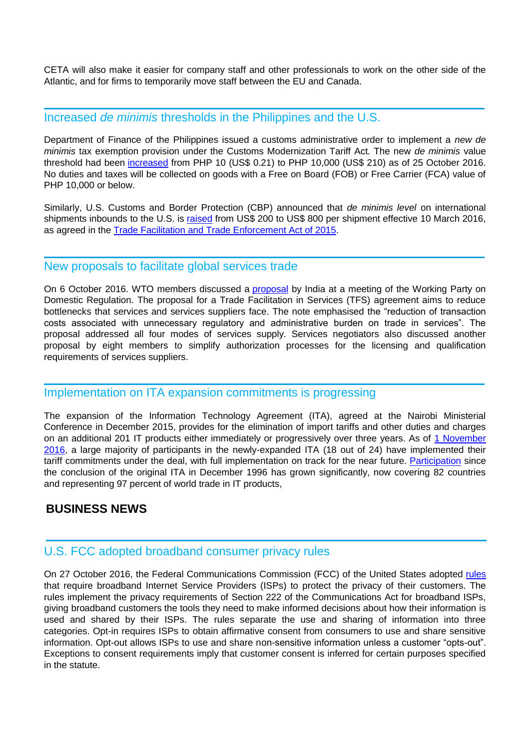CETA will also make it easier for company staff and other professionals to work on the other side of the Atlantic, and for firms to temporarily move staff between the EU and Canada.

#### Increased *de minimis* thresholds in the Philippines and the U.S.

Department of Finance of the Philippines issued a customs administrative order to implement a *new de minimis* tax exemption provision under the Customs Modernization Tariff Act. The new *de minimis* value threshold had been [increased](http://legacy.intracen.org/survey/contact/openings.asp?3&5510-1288&13&M4VTFBMiUdJrViulVVyJFg) from PHP 10 (US\$ 0.21) to PHP 10,000 (US\$ 210) as of 25 October 2016. No duties and taxes will be collected on goods with a Free on Board (FOB) or Free Carrier (FCA) value of PHP 10,000 or below.

Similarly, U.S. Customs and Border Protection (CBP) announced that *de minimis level* on international shipments inbounds to the U.S. is [raised](http://legacy.intracen.org/survey/contact/openings.asp?3&5510-1288&14&M4VTFBMiUdJrViulVVyJFg) from US\$ 200 to US\$ 800 per shipment effective 10 March 2016, as agreed in the [Trade Facilitation and Trade Enforcement Act of 2015.](http://legacy.intracen.org/survey/contact/openings.asp?3&5510-1288&15&M4VTFBMiUdJrViulVVyJFg)

#### New proposals to facilitate global services trade

On 6 October 2016. WTO members discussed a [proposal](http://legacy.intracen.org/survey/contact/openings.asp?3&5510-1288&16&M4VTFBMiUdJrViulVVyJFg) by India at a meeting of the Working Party on Domestic Regulation. The proposal for a Trade Facilitation in Services (TFS) agreement aims to reduce bottlenecks that services and services suppliers face. The note emphasised the "reduction of transaction costs associated with unnecessary regulatory and administrative burden on trade in services". The proposal addressed all four modes of services supply. Services negotiators also discussed another proposal by eight members to simplify authorization processes for the licensing and qualification requirements of services suppliers.

#### Implementation on ITA expansion commitments is progressing

The expansion of the Information Technology Agreement (ITA), agreed at the Nairobi Ministerial Conference in December 2015, provides for the elimination of import tariffs and other duties and charges on an additional 201 IT products either immediately or progressively over three years. As of [1 November](http://legacy.intracen.org/survey/contact/openings.asp?3&5510-1288&17&M4VTFBMiUdJrViulVVyJFg)  [2016,](http://legacy.intracen.org/survey/contact/openings.asp?3&5510-1288&17&M4VTFBMiUdJrViulVVyJFg) a large majority of participants in the newly-expanded ITA (18 out of 24) have implemented their tariff commitments under the deal, with full implementation on track for the near future. [Participation](http://legacy.intracen.org/survey/contact/openings.asp?3&5510-1288&18&M4VTFBMiUdJrViulVVyJFg) since the conclusion of the original ITA in December 1996 has grown significantly, now covering 82 countries and representing 97 percent of world trade in IT products,

### **BUSINESS NEWS**

### U.S. FCC adopted broadband consumer privacy rules

On 27 October 2016, the Federal Communications Commission (FCC) of the United States adopted [rules](http://legacy.intracen.org/survey/contact/openings.asp?3&5510-1288&19&M4VTFBMiUdJrViulVVyJFg) that require broadband Internet Service Providers (ISPs) to protect the privacy of their customers. The rules implement the privacy requirements of Section 222 of the Communications Act for broadband ISPs, giving broadband customers the tools they need to make informed decisions about how their information is used and shared by their ISPs. The rules separate the use and sharing of information into three categories. Opt-in requires ISPs to obtain affirmative consent from consumers to use and share sensitive information. Opt-out allows ISPs to use and share non-sensitive information unless a customer "opts-out". Exceptions to consent requirements imply that customer consent is inferred for certain purposes specified in the statute.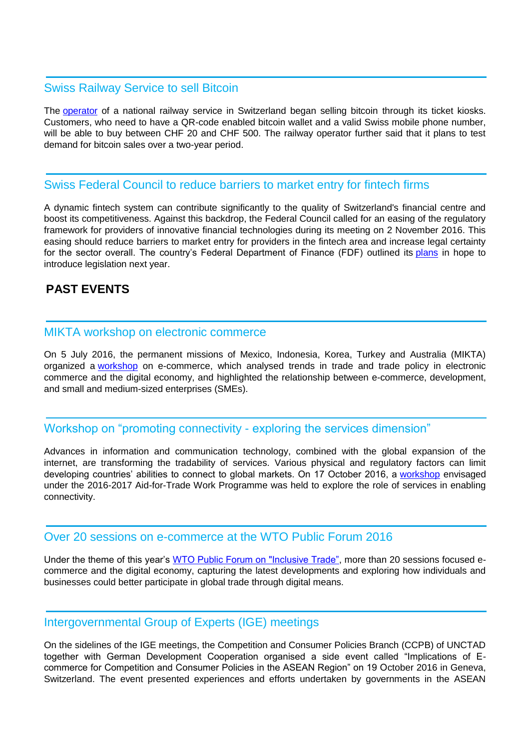### Swiss Railway Service to sell Bitcoin

The **[operator](http://legacy.intracen.org/survey/contact/openings.asp?3&5510-1288&20&M4VTFBMiUdJrViulVVyJFg)** of a national railway service in Switzerland began selling bitcoin through its ticket kiosks. Customers, who need to have a QR-code enabled bitcoin wallet and a valid Swiss mobile phone number, will be able to buy between CHF 20 and CHF 500. The railway operator further said that it plans to test demand for bitcoin sales over a two-year period.

#### Swiss Federal Council to reduce barriers to market entry for fintech firms

A dynamic fintech system can contribute significantly to the quality of Switzerland's financial centre and boost its competitiveness. Against this backdrop, the Federal Council called for an easing of the regulatory framework for providers of innovative financial technologies during its meeting on 2 November 2016. This easing should reduce barriers to market entry for providers in the fintech area and increase legal certainty for the sector overall. The country's Federal Department of Finance (FDF) outlined its [plans](http://legacy.intracen.org/survey/contact/openings.asp?3&5510-1288&21&M4VTFBMiUdJrViulVVyJFg) in hope to introduce legislation next year.

# **PAST EVENTS**

#### MIKTA workshop on electronic commerce

On 5 July 2016, the permanent missions of Mexico, Indonesia, Korea, Turkey and Australia (MIKTA) organized a [workshop](http://legacy.intracen.org/survey/contact/openings.asp?3&5510-1288&22&M4VTFBMiUdJrViulVVyJFg) on e-commerce, which analysed trends in trade and trade policy in electronic commerce and the digital economy, and highlighted the relationship between e-commerce, development, and small and medium-sized enterprises (SMEs).

#### Workshop on "promoting connectivity - exploring the services dimension"

Advances in information and communication technology, combined with the global expansion of the internet, are transforming the tradability of services. Various physical and regulatory factors can limit developing countries' abilities to connect to global markets. On 17 October 2016, a [workshop](http://legacy.intracen.org/survey/contact/openings.asp?3&5510-1288&23&M4VTFBMiUdJrViulVVyJFg) envisaged under the 2016-2017 Aid-for-Trade Work Programme was held to explore the role of services in enabling connectivity.

#### Over 20 sessions on e-commerce at the WTO Public Forum 2016

Under the theme of this year's [WTO Public Forum on "Inclusive Trade",](http://legacy.intracen.org/survey/contact/openings.asp?3&5510-1288&24&M4VTFBMiUdJrViulVVyJFg) more than 20 sessions focused ecommerce and the digital economy, capturing the latest developments and exploring how individuals and businesses could better participate in global trade through digital means.

#### Intergovernmental Group of Experts (IGE) meetings

On the sidelines of the IGE meetings, the Competition and Consumer Policies Branch (CCPB) of UNCTAD together with German Development Cooperation organised a side event called "Implications of Ecommerce for Competition and Consumer Policies in the ASEAN Region" on 19 October 2016 in Geneva, Switzerland. The event presented experiences and efforts undertaken by governments in the ASEAN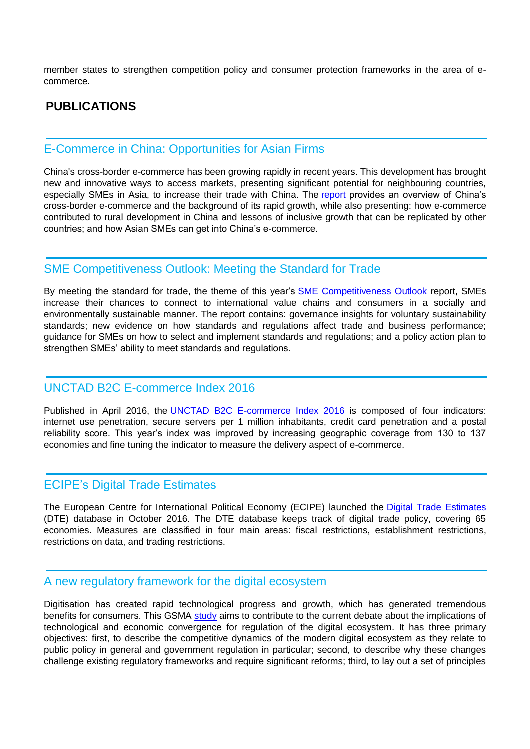member states to strengthen competition policy and consumer protection frameworks in the area of ecommerce.

## **PUBLICATIONS**

#### E-Commerce in China: Opportunities for Asian Firms

China's cross-border e-commerce has been growing rapidly in recent years. This development has brought new and innovative ways to access markets, presenting significant potential for neighbouring countries, especially SMEs in Asia, to increase their trade with China. The [report](http://legacy.intracen.org/survey/contact/openings.asp?3&5510-1288&25&M4VTFBMiUdJrViulVVyJFg) provides an overview of China's cross-border e-commerce and the background of its rapid growth, while also presenting: how e-commerce contributed to rural development in China and lessons of inclusive growth that can be replicated by other countries; and how Asian SMEs can get into China's e-commerce.

#### SME Competitiveness Outlook: Meeting the Standard for Trade

By meeting the standard for trade, the theme of this year's [SME Competitiveness Outlook](http://legacy.intracen.org/survey/contact/openings.asp?3&5510-1288&26&M4VTFBMiUdJrViulVVyJFg) report, SMEs increase their chances to connect to international value chains and consumers in a socially and environmentally sustainable manner. The report contains: governance insights for voluntary sustainability standards; new evidence on how standards and regulations affect trade and business performance; guidance for SMEs on how to select and implement standards and regulations; and a policy action plan to strengthen SMEs' ability to meet standards and regulations.

## UNCTAD B2C E-commerce Index 2016

Published in April 2016, the [UNCTAD B2C E-commerce Index 2016](http://legacy.intracen.org/survey/contact/openings.asp?3&5510-1288&27&M4VTFBMiUdJrViulVVyJFg) is composed of four indicators: internet use penetration, secure servers per 1 million inhabitants, credit card penetration and a postal reliability score. This year's index was improved by increasing geographic coverage from 130 to 137 economies and fine tuning the indicator to measure the delivery aspect of e-commerce.

#### ECIPE's Digital Trade Estimates

The European Centre for International Political Economy (ECIPE) launched the [Digital Trade Estimates](http://legacy.intracen.org/survey/contact/openings.asp?3&5510-1288&28&M4VTFBMiUdJrViulVVyJFg) (DTE) database in October 2016. The DTE database keeps track of digital trade policy, covering 65 economies. Measures are classified in four main areas: fiscal restrictions, establishment restrictions, restrictions on data, and trading restrictions.

#### A new regulatory framework for the digital ecosystem

Digitisation has created rapid technological progress and growth, which has generated tremendous benefits for consumers. This GSMA [study](http://legacy.intracen.org/survey/contact/openings.asp?3&5510-1288&29&M4VTFBMiUdJrViulVVyJFg) aims to contribute to the current debate about the implications of technological and economic convergence for regulation of the digital ecosystem. It has three primary objectives: first, to describe the competitive dynamics of the modern digital ecosystem as they relate to public policy in general and government regulation in particular; second, to describe why these changes challenge existing regulatory frameworks and require significant reforms; third, to lay out a set of principles